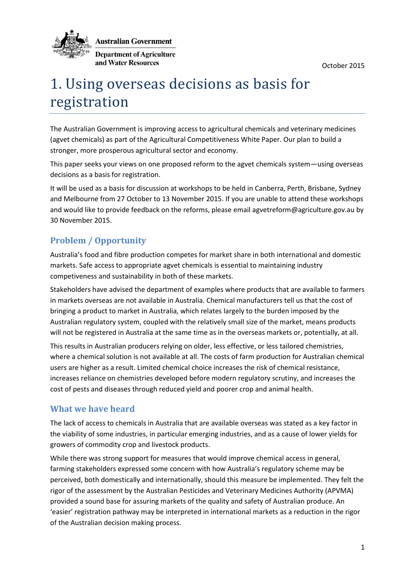October 2015



**Australian Government** 

**Department of Agriculture** and Water Resources

# 1. Using overseas decisions as basis for registration

The Australian Government is improving access to agricultural chemicals and veterinary medicines (agvet chemicals) as part of the Agricultural Competitiveness White Paper. Our plan to build a stronger, more prosperous agricultural sector and economy.

This paper seeks your views on one proposed reform to the agvet chemicals system—using overseas decisions as a basis for registration.

It will be used as a basis for discussion at workshops to be held in Canberra, Perth, Brisbane, Sydney and Melbourne from 27 October to 13 November 2015. If you are unable to attend these workshops and would like to provide feedback on the reforms, please email agvetreform@agriculture.gov.au by 30 November 2015.

# **Problem / Opportunity**

Australia's food and fibre production competes for market share in both international and domestic markets. Safe access to appropriate agvet chemicals is essential to maintaining industry competiveness and sustainability in both of these markets.

Stakeholders have advised the department of examples where products that are available to farmers in markets overseas are not available in Australia. Chemical manufacturers tell us that the cost of bringing a product to market in Australia, which relates largely to the burden imposed by the Australian regulatory system, coupled with the relatively small size of the market, means products will not be registered in Australia at the same time as in the overseas markets or, potentially, at all.

This results in Australian producers relying on older, less effective, or less tailored chemistries, where a chemical solution is not available at all. The costs of farm production for Australian chemical users are higher as a result. Limited chemical choice increases the risk of chemical resistance, increases reliance on chemistries developed before modern regulatory scrutiny, and increases the cost of pests and diseases through reduced yield and poorer crop and animal health.

## **What we have heard**

The lack of access to chemicals in Australia that are available overseas was stated as a key factor in the viability of some industries, in particular emerging industries, and as a cause of lower yields for growers of commodity crop and livestock products.

While there was strong support for measures that would improve chemical access in general, farming stakeholders expressed some concern with how Australia's regulatory scheme may be perceived, both domestically and internationally, should this measure be implemented. They felt the rigor of the assessment by the Australian Pesticides and Veterinary Medicines Authority (APVMA) provided a sound base for assuring markets of the quality and safety of Australian produce. An 'easier' registration pathway may be interpreted in international markets as a reduction in the rigor of the Australian decision making process.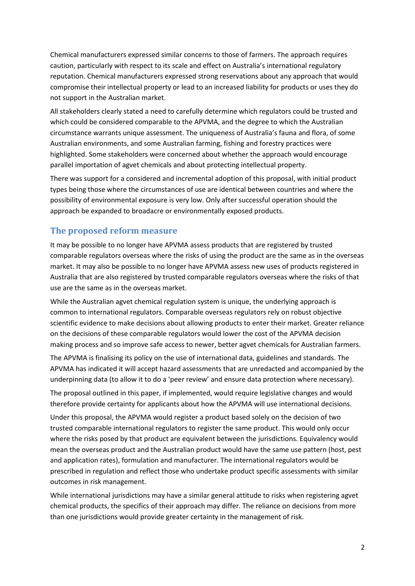Chemical manufacturers expressed similar concerns to those of farmers. The approach requires caution, particularly with respect to its scale and effect on Australia's international regulatory reputation. Chemical manufacturers expressed strong reservations about any approach that would compromise their intellectual property or lead to an increased liability for products or uses they do not support in the Australian market.

All stakeholders clearly stated a need to carefully determine which regulators could be trusted and which could be considered comparable to the APVMA, and the degree to which the Australian circumstance warrants unique assessment. The uniqueness of Australia's fauna and flora, of some Australian environments, and some Australian farming, fishing and forestry practices were highlighted. Some stakeholders were concerned about whether the approach would encourage parallel importation of agvet chemicals and about protecting intellectual property.

There was support for a considered and incremental adoption of this proposal, with initial product types being those where the circumstances of use are identical between countries and where the possibility of environmental exposure is very low. Only after successful operation should the approach be expanded to broadacre or environmentally exposed products.

### **The proposed reform measure**

It may be possible to no longer have APVMA assess products that are registered by trusted comparable regulators overseas where the risks of using the product are the same as in the overseas market. It may also be possible to no longer have APVMA assess new uses of products registered in Australia that are also registered by trusted comparable regulators overseas where the risks of that use are the same as in the overseas market.

While the Australian agvet chemical regulation system is unique, the underlying approach is common to international regulators. Comparable overseas regulators rely on robust objective scientific evidence to make decisions about allowing products to enter their market. Greater reliance on the decisions of these comparable regulators would lower the cost of the APVMA decision making process and so improve safe access to newer, better agvet chemicals for Australian farmers.

The APVMA is finalising its policy on the use of international data, guidelines and standards. The APVMA has indicated it will accept hazard assessments that are unredacted and accompanied by the underpinning data (to allow it to do a 'peer review' and ensure data protection where necessary).

The proposal outlined in this paper, if implemented, would require legislative changes and would therefore provide certainty for applicants about how the APVMA will use international decisions.

Under this proposal, the APVMA would register a product based solely on the decision of two trusted comparable international regulators to register the same product. This would only occur where the risks posed by that product are equivalent between the jurisdictions. Equivalency would mean the overseas product and the Australian product would have the same use pattern (host, pest and application rates), formulation and manufacturer. The international regulators would be prescribed in regulation and reflect those who undertake product specific assessments with similar outcomes in risk management.

While international jurisdictions may have a similar general attitude to risks when registering agvet chemical products, the specifics of their approach may differ. The reliance on decisions from more than one jurisdictions would provide greater certainty in the management of risk.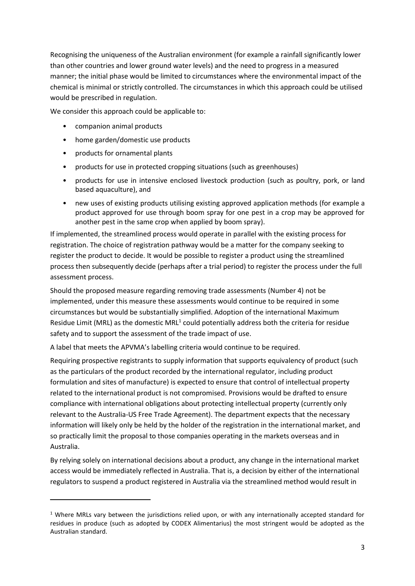Recognising the uniqueness of the Australian environment (for example a rainfall significantly lower than other countries and lower ground water levels) and the need to progress in a measured manner; the initial phase would be limited to circumstances where the environmental impact of the chemical is minimal or strictly controlled. The circumstances in which this approach could be utilised would be prescribed in regulation.

We consider this approach could be applicable to:

- companion animal products
- home garden/domestic use products
- products for ornamental plants

**.** 

- products for use in protected cropping situations (such as greenhouses)
- products for use in intensive enclosed livestock production (such as poultry, pork, or land based aquaculture), and
- new uses of existing products utilising existing approved application methods (for example a product approved for use through boom spray for one pest in a crop may be approved for another pest in the same crop when applied by boom spray).

If implemented, the streamlined process would operate in parallel with the existing process for registration. The choice of registration pathway would be a matter for the company seeking to register the product to decide. It would be possible to register a product using the streamlined process then subsequently decide (perhaps after a trial period) to register the process under the full assessment process.

Should the proposed measure regarding removing trade assessments (Number 4) not be implemented, under this measure these assessments would continue to be required in some circumstances but would be substantially simplified. Adoption of the international Maximum Residue Limit (MRL) as the domestic MRL<sup>1</sup> could potentially address both the criteria for residue safety and to support the assessment of the trade impact of use.

A label that meets the APVMA's labelling criteria would continue to be required.

Requiring prospective registrants to supply information that supports equivalency of product (such as the particulars of the product recorded by the international regulator, including product formulation and sites of manufacture) is expected to ensure that control of intellectual property related to the international product is not compromised. Provisions would be drafted to ensure compliance with international obligations about protecting intellectual property (currently only relevant to the Australia-US Free Trade Agreement). The department expects that the necessary information will likely only be held by the holder of the registration in the international market, and so practically limit the proposal to those companies operating in the markets overseas and in Australia.

By relying solely on international decisions about a product, any change in the international market access would be immediately reflected in Australia. That is, a decision by either of the international regulators to suspend a product registered in Australia via the streamlined method would result in

 $1$  Where MRLs vary between the jurisdictions relied upon, or with any internationally accepted standard for residues in produce (such as adopted by CODEX Alimentarius) the most stringent would be adopted as the Australian standard.